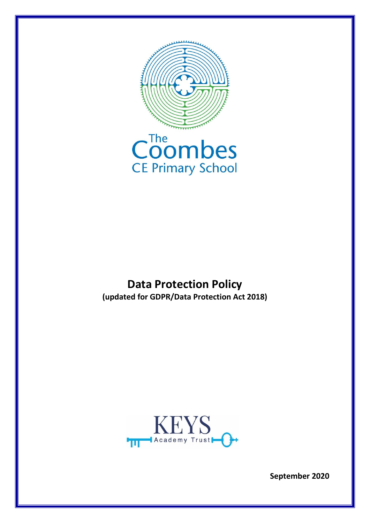

## **Data Protection Policy (updated for GDPR/Data Protection Act 2018)**



**September 2020**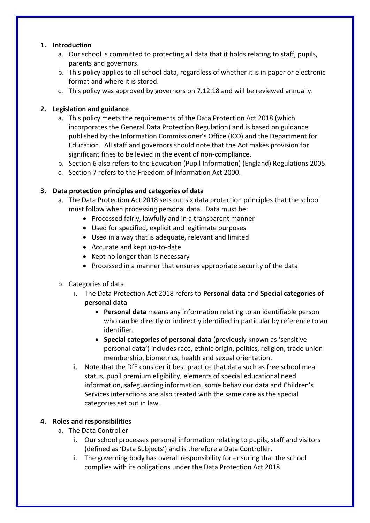### **1. Introduction**

- a. Our school is committed to protecting all data that it holds relating to staff, pupils, parents and governors.
- b. This policy applies to all school data, regardless of whether it is in paper or electronic format and where it is stored.
- c. This policy was approved by governors on 7.12.18 and will be reviewed annually.

### **2. Legislation and guidance**

- a. This policy meets the requirements of the Data Protection Act 2018 (which incorporates the [General Data Protection Regulation\)](http://data.consilium.europa.eu/doc/document/ST-5419-2016-INIT/en/pdf) and is based on guidance published by the Information Commissioner's Office (ICO) and the Department for Education. All staff and governors should note that the Act makes provision for significant fines to be levied in the event of non-compliance.
- b. Section 6 also refers to the Education (Pupil Information) (England) Regulations 2005.
- c. Section 7 refers to the Freedom of Information Act 2000.

### **3. Data protection principles and categories of data**

- a. The Data Protection Act 2018 sets out six data protection principles that the school must follow when processing personal data. Data must be:
	- Processed fairly, lawfully and in a transparent manner
	- Used for specified, explicit and legitimate purposes
	- Used in a way that is adequate, relevant and limited
	- Accurate and kept up-to-date
	- $\bullet$  Kept no longer than is necessary
	- Processed in a manner that ensures appropriate security of the data
- b. Categories of data
	- i. The Data Protection Act 2018 refers to **Personal data** and **Special categories of personal data**
		- **Personal data** means any information relating to an identifiable person who can be directly or indirectly identified in particular by reference to an identifier.
		- **Special categories of personal data** (previously known as 'sensitive personal data') includes race, ethnic origin, politics, religion, trade union membership, biometrics, health and sexual orientation.
	- ii. Note that the DfE consider it best practice that data such as free school meal status, pupil premium eligibility, elements of special educational need information, safeguarding information, some behaviour data and Children's Services interactions are also treated with the same care as the special categories set out in law.

## **4. Roles and responsibilities**

- a. The Data Controller
	- i. Our school processes personal information relating to pupils, staff and visitors (defined as 'Data Subjects') and is therefore a Data Controller.
	- ii. The governing body has overall responsibility for ensuring that the school complies with its obligations under the Data Protection Act 2018.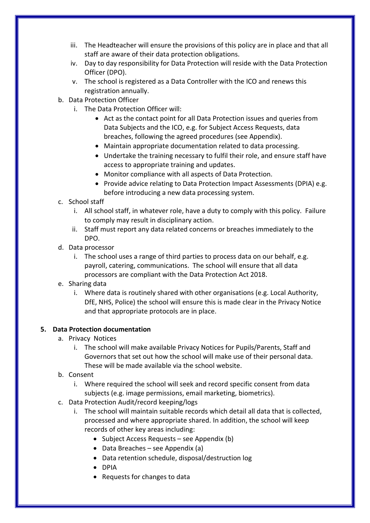- iii. The Headteacher will ensure the provisions of this policy are in place and that all staff are aware of their data protection obligations.
- iv. Day to day responsibility for Data Protection will reside with the Data Protection Officer (DPO).
- v. The school is registered as a Data Controller with the ICO and renews this registration annually.
- b. Data Protection Officer
	- i. The Data Protection Officer will:
		- Act as the contact point for all Data Protection issues and queries from Data Subjects and the ICO, e.g. for Subject Access Requests, data breaches, following the agreed procedures (see Appendix).
		- Maintain appropriate documentation related to data processing.
		- Undertake the training necessary to fulfil their role, and ensure staff have access to appropriate training and updates.
		- Monitor compliance with all aspects of Data Protection.
		- Provide advice relating to Data Protection Impact Assessments (DPIA) e.g. before introducing a new data processing system.
- c. School staff
	- i. All school staff, in whatever role, have a duty to comply with this policy. Failure to comply may result in disciplinary action.
	- ii. Staff must report any data related concerns or breaches immediately to the DPO.
- d. Data processor
	- i. The school uses a range of third parties to process data on our behalf, e.g. payroll, catering, communications. The school will ensure that all data processors are compliant with the Data Protection Act 2018.
- e. Sharing data
	- i. Where data is routinely shared with other organisations (e.g. Local Authority, DfE, NHS, Police) the school will ensure this is made clear in the Privacy Notice and that appropriate protocols are in place.

## **5. Data Protection documentation**

- a. Privacy Notices
	- i. The school will make available Privacy Notices for Pupils/Parents, Staff and Governors that set out how the school will make use of their personal data. These will be made available via the school website.
- b. Consent
	- i. Where required the school will seek and record specific consent from data subjects (e.g. image permissions, email marketing, biometrics).
- c. Data Protection Audit/record keeping/logs
	- i. The school will maintain suitable records which detail all data that is collected, processed and where appropriate shared. In addition, the school will keep records of other key areas including:
		- Subject Access Requests see Appendix  $(b)$
		- $\bullet$  Data Breaches see Appendix (a)
		- Data retention schedule, disposal/destruction log
		- DPIA
		- Requests for changes to data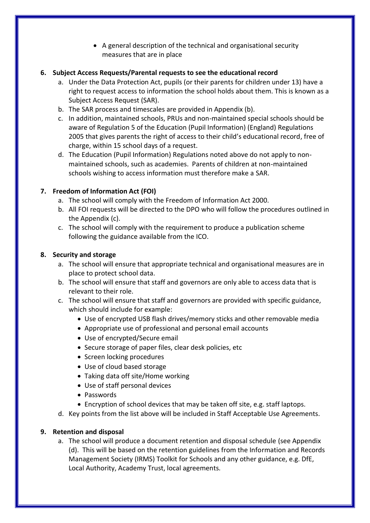A general description of the technical and organisational security measures that are in place

## **6. Subject Access Requests/Parental requests to see the educational record**

- a. Under the Data Protection Act, pupils (or their parents for children under 13) have a right to request access to information the school holds about them. This is known as a Subject Access Request (SAR).
- b. The SAR process and timescales are provided in Appendix (b).
- c. In addition, maintained schools, PRUs and non-maintained special schools should be aware of Regulation 5 of the Education (Pupil Information) (England) Regulations 2005 that gives parents the right of access to their child's educational record, free of charge, within 15 school days of a request.
- d. The Education (Pupil Information) Regulations noted above do not apply to nonmaintained schools, such as academies. Parents of children at non-maintained schools wishing to access information must therefore make a SAR.

## **7. Freedom of Information Act (FOI)**

- a. The school will comply with the Freedom of Information Act 2000.
- b. All FOI requests will be directed to the DPO who will follow the procedures outlined in the Appendix (c).
- c. The school will comply with the requirement to produce a publication scheme following the guidance available from the ICO.

## **8. Security and storage**

- a. The school will ensure that appropriate technical and organisational measures are in place to protect school data.
- b. The school will ensure that staff and governors are only able to access data that is relevant to their role.
- c. The school will ensure that staff and governors are provided with specific guidance, which should include for example:
	- Use of encrypted USB flash drives/memory sticks and other removable media
	- Appropriate use of professional and personal email accounts
	- Use of encrypted/Secure email
	- Secure storage of paper files, clear desk policies, etc
	- Screen locking procedures
	- Use of cloud based storage
	- Taking data off site/Home working
	- Use of staff personal devices
	- Passwords
	- Encryption of school devices that may be taken off site, e.g. staff laptops.
- d. Key points from the list above will be included in Staff Acceptable Use Agreements.

## **9. Retention and disposal**

a. The school will produce a document retention and disposal schedule (see Appendix (d). This will be based on the retention guidelines from the Information and Records Management Society (IRMS) Toolkit for Schools and any other guidance, e.g. DfE, Local Authority, Academy Trust, local agreements.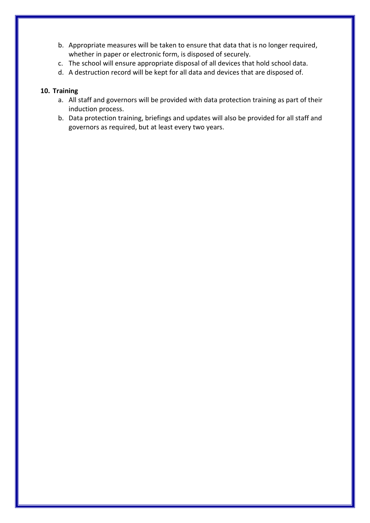- b. Appropriate measures will be taken to ensure that data that is no longer required, whether in paper or electronic form, is disposed of securely.
- c. The school will ensure appropriate disposal of all devices that hold school data.
- d. A destruction record will be kept for all data and devices that are disposed of.

### **10. Training**

- a. All staff and governors will be provided with data protection training as part of their induction process.
- b. Data protection training, briefings and updates will also be provided for all staff and governors as required, but at least every two years.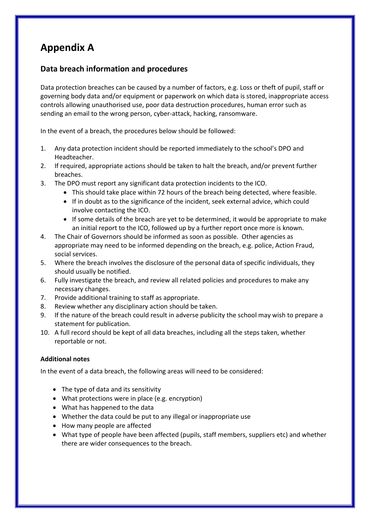## **Appendix A**

## **Data breach information and procedures**

Data protection breaches can be caused by a number of factors, e.g. Loss or theft of pupil, staff or governing body data and/or equipment or paperwork on which data is stored, inappropriate access controls allowing unauthorised use, poor data destruction procedures, human error such as sending an email to the wrong person, cyber-attack, hacking, ransomware.

In the event of a breach, the procedures below should be followed:

- 1. Any data protection incident should be reported immediately to the school's DPO and Headteacher.
- 2. If required, appropriate actions should be taken to halt the breach, and/or prevent further breaches.
- 3. The DPO must report any significant data protection incidents to the ICO.
	- This should take place within 72 hours of the breach being detected, where feasible.
	- If in doubt as to the significance of the incident, seek external advice, which could involve contacting the ICO.
	- If some details of the breach are yet to be determined, it would be appropriate to make an initial report to the ICO, followed up by a further report once more is known.
- 4. The Chair of Governors should be informed as soon as possible. Other agencies as appropriate may need to be informed depending on the breach, e.g. police, Action Fraud, social services.
- 5. Where the breach involves the disclosure of the personal data of specific individuals, they should usually be notified.
- 6. Fully investigate the breach, and review all related policies and procedures to make any necessary changes.
- 7. Provide additional training to staff as appropriate.
- 8. Review whether any disciplinary action should be taken.
- 9. If the nature of the breach could result in adverse publicity the school may wish to prepare a statement for publication.
- 10. A full record should be kept of all data breaches, including all the steps taken, whether reportable or not.

#### **Additional notes**

In the event of a data breach, the following areas will need to be considered:

- The type of data and its sensitivity
- What protections were in place (e.g. encryption)
- What has happened to the data
- Whether the data could be put to any illegal or inappropriate use
- How many people are affected
- What type of people have been affected (pupils, staff members, suppliers etc) and whether there are wider consequences to the breach.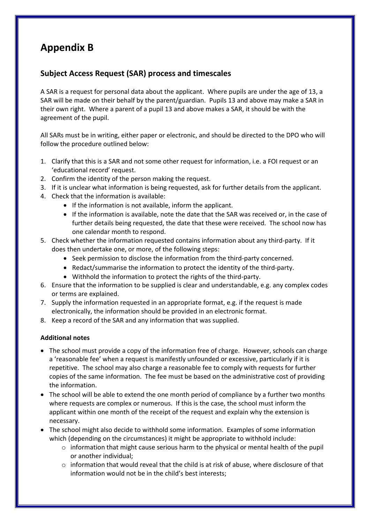## **Appendix B**

## **Subject Access Request (SAR) process and timescales**

A SAR is a request for personal data about the applicant. Where pupils are under the age of 13, a SAR will be made on their behalf by the parent/guardian. Pupils 13 and above may make a SAR in their own right. Where a parent of a pupil 13 and above makes a SAR, it should be with the agreement of the pupil.

All SARs must be in writing, either paper or electronic, and should be directed to the DPO who will follow the procedure outlined below:

- 1. Clarify that this is a SAR and not some other request for information, i.e. a FOI request or an 'educational record' request.
- 2. Confirm the identity of the person making the request.
- 3. If it is unclear what information is being requested, ask for further details from the applicant.
- 4. Check that the information is available:
	- If the information is not available, inform the applicant.
	- If the information is available, note the date that the SAR was received or, in the case of further details being requested, the date that these were received. The school now has one calendar month to respond.
- 5. Check whether the information requested contains information about any third-party. If it does then undertake one, or more, of the following steps:
	- Seek permission to disclose the information from the third-party concerned.
	- Redact/summarise the information to protect the identity of the third-party.
	- Withhold the information to protect the rights of the third-party.
- 6. Ensure that the information to be supplied is clear and understandable, e.g. any complex codes or terms are explained.
- 7. Supply the information requested in an appropriate format, e.g. if the request is made electronically, the information should be provided in an electronic format.
- 8. Keep a record of the SAR and any information that was supplied.

#### **Additional notes**

- The school must provide a copy of the information free of charge. However, schools can charge a 'reasonable fee' when a request is manifestly unfounded or excessive, particularly if it is repetitive. The school may also charge a reasonable fee to comply with requests for further copies of the same information. The fee must be based on the administrative cost of providing the information.
- The school will be able to extend the one month period of compliance by a further two months where requests are complex or numerous. If this is the case, the school must inform the applicant within one month of the receipt of the request and explain why the extension is necessary.
- The school might also decide to withhold some information. Examples of some information which (depending on the circumstances) it might be appropriate to withhold include:
	- $\circ$  information that might cause serious harm to the physical or mental health of the pupil or another individual;
	- $\circ$  information that would reveal that the child is at risk of abuse, where disclosure of that information would not be in the child's best interests;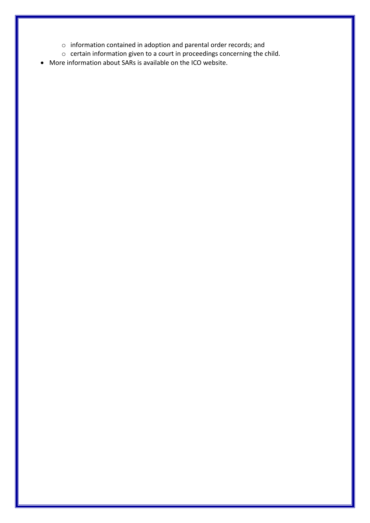- o information contained in adoption and parental order records; and
- o certain information given to a court in proceedings concerning the child.
- More information about SARs is available on the ICO website.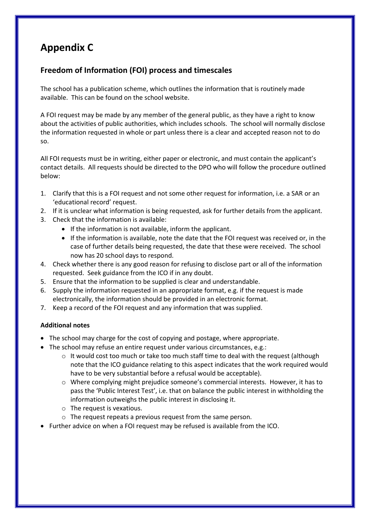## **Appendix C**

## **Freedom of Information (FOI) process and timescales**

The school has a publication scheme, which outlines the information that is routinely made available. This can be found on the school website.

A FOI request may be made by any member of the general public, as they have a right to know about the activities of public authorities, which includes schools. The school will normally disclose the information requested in whole or part unless there is a clear and accepted reason not to do so.

All FOI requests must be in writing, either paper or electronic, and must contain the applicant's contact details. All requests should be directed to the DPO who will follow the procedure outlined below:

- 1. Clarify that this is a FOI request and not some other request for information, i.e. a SAR or an 'educational record' request.
- 2. If it is unclear what information is being requested, ask for further details from the applicant.
- 3. Check that the information is available:
	- If the information is not available, inform the applicant.
	- If the information is available, note the date that the FOI request was received or, in the case of further details being requested, the date that these were received. The school now has 20 school days to respond.
- 4. Check whether there is any good reason for refusing to disclose part or all of the information requested. Seek guidance from the ICO if in any doubt.
- 5. Ensure that the information to be supplied is clear and understandable.
- 6. Supply the information requested in an appropriate format, e.g. if the request is made electronically, the information should be provided in an electronic format.
- 7. Keep a record of the FOI request and any information that was supplied.

## **Additional notes**

- The school may charge for the cost of copying and postage, where appropriate.
- The school may refuse an entire request under various circumstances, e.g.:
	- $\circ$  It would cost too much or take too much staff time to deal with the request (although note that the ICO guidance relating to this aspect indicates that the work required would have to be very substantial before a refusal would be acceptable).
	- o Where complying might prejudice someone's commercial interests. However, it has to pass the 'Public Interest Test', i.e. that on balance the public interest in withholding the information outweighs the public interest in disclosing it.
	- $\circ$  The request is vexatious.
	- o The request repeats a previous request from the same person.
- Further advice on when a FOI request may be refused is available from the ICO.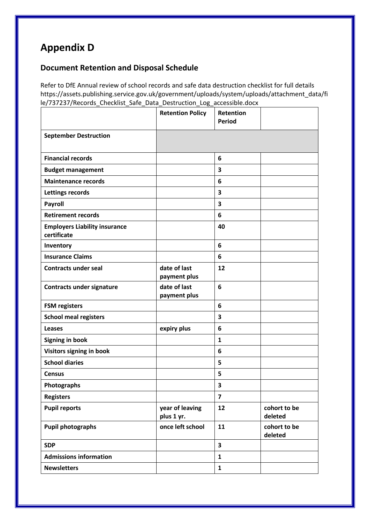# **Appendix D**

## **Document Retention and Disposal Schedule**

Refer to DfE Annual review of school records and safe data destruction checklist for full details https://assets.publishing.service.gov.uk/government/uploads/system/uploads/attachment\_data/fi le/737237/Records Checklist Safe Data Destruction Log accessible.docx

|                                                     | <b>Retention Policy</b>       | Retention<br><b>Period</b> |                         |
|-----------------------------------------------------|-------------------------------|----------------------------|-------------------------|
| <b>September Destruction</b>                        |                               |                            |                         |
| <b>Financial records</b>                            |                               | 6                          |                         |
| <b>Budget management</b>                            |                               | 3                          |                         |
| <b>Maintenance records</b>                          |                               | 6                          |                         |
| <b>Lettings records</b>                             |                               | 3                          |                         |
| Payroll                                             |                               | 3                          |                         |
| <b>Retirement records</b>                           |                               | 6                          |                         |
| <b>Employers Liability insurance</b><br>certificate |                               | 40                         |                         |
| Inventory                                           |                               | 6                          |                         |
| <b>Insurance Claims</b>                             |                               | 6                          |                         |
| <b>Contracts under seal</b>                         | date of last<br>payment plus  | 12                         |                         |
| <b>Contracts under signature</b>                    | date of last<br>payment plus  | 6                          |                         |
| <b>FSM registers</b>                                |                               | 6                          |                         |
| <b>School meal registers</b>                        |                               | 3                          |                         |
| Leases                                              | expiry plus                   | 6                          |                         |
| Signing in book                                     |                               | 1                          |                         |
| Visitors signing in book                            |                               | 6                          |                         |
| <b>School diaries</b>                               |                               | 5                          |                         |
| <b>Census</b>                                       |                               | 5                          |                         |
| Photographs                                         |                               | 3                          |                         |
| <b>Registers</b>                                    |                               | $\overline{\mathbf{z}}$    |                         |
| <b>Pupil reports</b>                                | year of leaving<br>plus 1 yr. | 12                         | cohort to be<br>deleted |
| <b>Pupil photographs</b>                            | once left school              | 11                         | cohort to be<br>deleted |
| <b>SDP</b>                                          |                               | 3                          |                         |
| <b>Admissions information</b>                       |                               | $\mathbf{1}$               |                         |
| <b>Newsletters</b>                                  |                               | $\mathbf{1}$               |                         |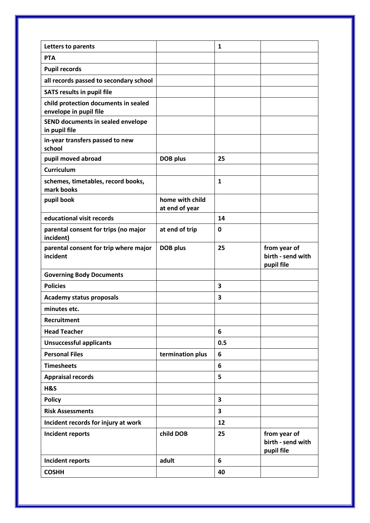| Letters to parents                                             |                                   | $\mathbf{1}$ |                                                 |
|----------------------------------------------------------------|-----------------------------------|--------------|-------------------------------------------------|
| <b>PTA</b>                                                     |                                   |              |                                                 |
| <b>Pupil records</b>                                           |                                   |              |                                                 |
| all records passed to secondary school                         |                                   |              |                                                 |
| <b>SATS results in pupil file</b>                              |                                   |              |                                                 |
| child protection documents in sealed<br>envelope in pupil file |                                   |              |                                                 |
| SEND documents in sealed envelope<br>in pupil file             |                                   |              |                                                 |
| in-year transfers passed to new<br>school                      |                                   |              |                                                 |
| pupil moved abroad                                             | <b>DOB</b> plus                   | 25           |                                                 |
| <b>Curriculum</b>                                              |                                   |              |                                                 |
| schemes, timetables, record books,<br>mark books               |                                   | $\mathbf{1}$ |                                                 |
| pupil book                                                     | home with child<br>at end of year |              |                                                 |
| educational visit records                                      |                                   | 14           |                                                 |
| parental consent for trips (no major<br>incident)              | at end of trip                    | 0            |                                                 |
| parental consent for trip where major<br>incident              | DOB plus                          | 25           | from year of<br>birth - send with               |
|                                                                |                                   |              | pupil file                                      |
| <b>Governing Body Documents</b>                                |                                   |              |                                                 |
| <b>Policies</b>                                                |                                   | 3            |                                                 |
| <b>Academy status proposals</b>                                |                                   | 3            |                                                 |
| minutes etc.                                                   |                                   |              |                                                 |
| Recruitment                                                    |                                   |              |                                                 |
| <b>Head Teacher</b>                                            |                                   | 6            |                                                 |
| <b>Unsuccessful applicants</b>                                 |                                   | 0.5          |                                                 |
| <b>Personal Files</b>                                          | termination plus                  | 6            |                                                 |
| <b>Timesheets</b>                                              |                                   | 6            |                                                 |
| <b>Appraisal records</b>                                       |                                   | 5            |                                                 |
| H&S                                                            |                                   |              |                                                 |
| <b>Policy</b>                                                  |                                   | 3            |                                                 |
| <b>Risk Assessments</b>                                        |                                   | 3            |                                                 |
| Incident records for injury at work                            |                                   | 12           |                                                 |
| Incident reports                                               | child DOB                         | 25           | from year of<br>birth - send with<br>pupil file |
| Incident reports                                               | adult                             | 6            |                                                 |